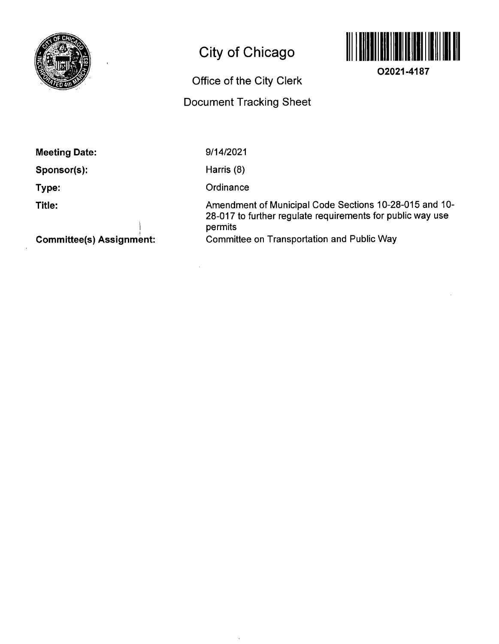

# **City of Chicago**



**02021-4187** 

# **Office of the City Clerk**

## **Document Tracking Sheet**

**Meeting Date:** 

**Sponsor(s):** 

**Type:** 

**Title:** 

9/14/2021

Harris (8)

**Ordinance** 

 $\ddot{\phantom{a}}$ 

Amendment of Municipal Code Sections 10-28-015 and 10- 28-017 to further regulate requirements for public way use permits Committee on Transportation and Public Way

**Committee(s) Assignment:** 

**j**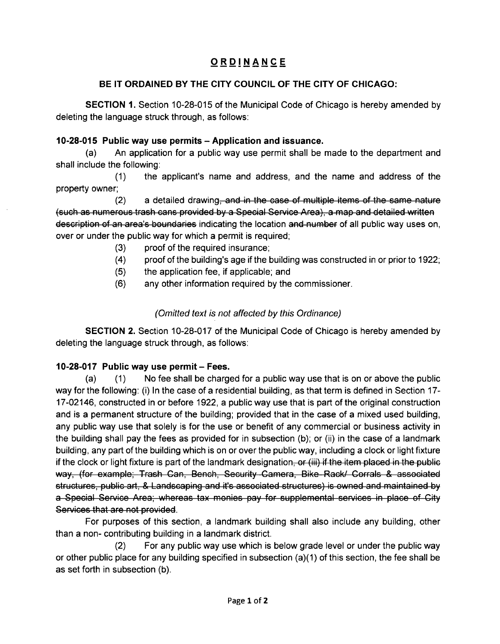### **ORDINANC E**

#### **BE IT ORDAINED BY THE CITY COUNCIL OF THE CITY OF CHICAGO:**

SECTION 1. Section 10-28-015 of the Municipal Code of Chicago is hereby amended by deleting the language struck through, as follows:

#### **10-28-015 Public way use permits - Application and issuance.**

(a) An application for a public way use permit shall be made to the department and shall include the following:

(1) the applicant's name and address, and the name and address of the property owner;

 $(2)$  a detailed drawing, and in the case of multiple items of the same nature (such as numerous trash cans provided by a Special Service Area), a map and detailed written description of an area's boundaries indicating the location and number of all public way uses on, over or under the public way for which a permit is required;

- (3) proof of the required insurance;
- (4) proof of the building's age if the building was constructed in or prior to 1922;
- (5) the application fee, if applicable; and
- (6) any other information required by the commissioner.

#### (Omitted text is not affected by this Ordinance)

SECTION 2. Section 10-28-017 of the Municipal Code of Chicago is hereby amended by deleting the language struck through, as follows:

#### **10-28-017 Public way use permit - Fees.**

(a) (1) No fee shall be charged for a public way use that is on or above the public way forthe following: (i) In the case of a residential building, as that term is defined in Section 17- 17-02146, constructed in or before 1922, a public way use that is part ofthe original construction and is a permanent structure of the building; provided that in the case of a mixed used building, any public way use that solely is for the use or benefit of any commercial or business activity in the building shall pay the fees as provided for in subsection (b); or (ii) in the case of a landmark building, any part ofthe building which is on or overthe public way, including a clock or light fixture if the clock or light fixture is part of the landmark designation, or (iii) if the item placed in the public way, (for example; Trash Can, Bench, Security Camera, Bike Rack/ Corrals & associated structures, public art, & Landscaping and it's associated structures) is owned and maintained by a Special Service Area; whereas tax monies pay for supplemental services in place of City Services that are not provided.

For purposes of this section, a landmark building shall also include any building, other than a non- contributing building in a landmark district.

(2) For any public way use which is below grade level or under the public way or other public place for any building specified in subsection (a)(1) ofthis section, the fee shall be as set forth in subsection (b).